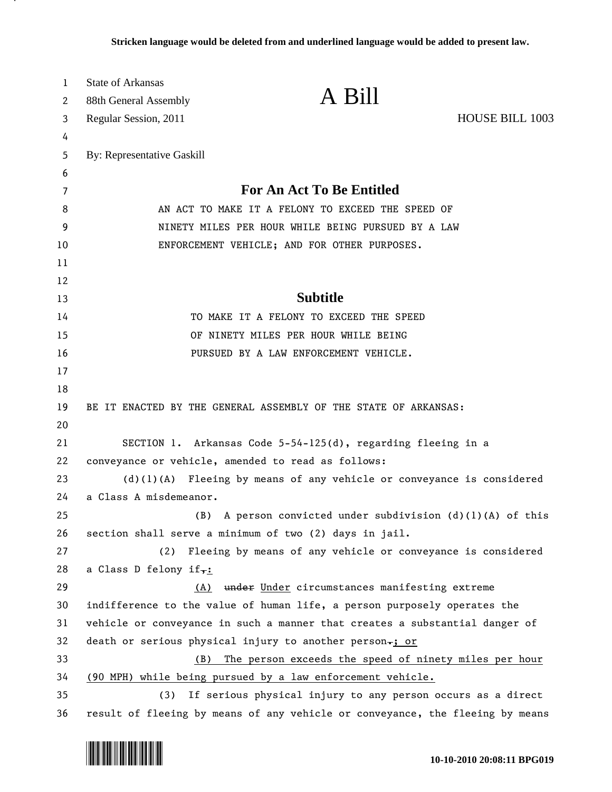| 1        | <b>State of Arkansas</b>                                                | A Bill                                                                                                              |                        |  |  |  |  |  |  |
|----------|-------------------------------------------------------------------------|---------------------------------------------------------------------------------------------------------------------|------------------------|--|--|--|--|--|--|
| 2        | 88th General Assembly                                                   |                                                                                                                     |                        |  |  |  |  |  |  |
| 3        | Regular Session, 2011                                                   |                                                                                                                     | <b>HOUSE BILL 1003</b> |  |  |  |  |  |  |
| 4<br>5   | By: Representative Gaskill                                              |                                                                                                                     |                        |  |  |  |  |  |  |
| 6        |                                                                         |                                                                                                                     |                        |  |  |  |  |  |  |
| 7        |                                                                         | <b>For An Act To Be Entitled</b>                                                                                    |                        |  |  |  |  |  |  |
| 8        | AN ACT TO MAKE IT A FELONY TO EXCEED THE SPEED OF                       |                                                                                                                     |                        |  |  |  |  |  |  |
| 9        | NINETY MILES PER HOUR WHILE BEING PURSUED BY A LAW                      |                                                                                                                     |                        |  |  |  |  |  |  |
| 10       | ENFORCEMENT VEHICLE; AND FOR OTHER PURPOSES.                            |                                                                                                                     |                        |  |  |  |  |  |  |
| 11       |                                                                         |                                                                                                                     |                        |  |  |  |  |  |  |
| 12       |                                                                         |                                                                                                                     |                        |  |  |  |  |  |  |
| 13       |                                                                         | <b>Subtitle</b>                                                                                                     |                        |  |  |  |  |  |  |
| 14       |                                                                         | TO MAKE IT A FELONY TO EXCEED THE SPEED                                                                             |                        |  |  |  |  |  |  |
| 15       |                                                                         | OF NINETY MILES PER HOUR WHILE BEING                                                                                |                        |  |  |  |  |  |  |
| 16       |                                                                         | PURSUED BY A LAW ENFORCEMENT VEHICLE.                                                                               |                        |  |  |  |  |  |  |
| 17       |                                                                         |                                                                                                                     |                        |  |  |  |  |  |  |
| 18       |                                                                         |                                                                                                                     |                        |  |  |  |  |  |  |
| 19       |                                                                         | BE IT ENACTED BY THE GENERAL ASSEMBLY OF THE STATE OF ARKANSAS:                                                     |                        |  |  |  |  |  |  |
| 20       |                                                                         |                                                                                                                     |                        |  |  |  |  |  |  |
| 21       |                                                                         | SECTION 1. Arkansas Code 5-54-125(d), regarding fleeing in a                                                        |                        |  |  |  |  |  |  |
| 22       |                                                                         | conveyance or vehicle, amended to read as follows:                                                                  |                        |  |  |  |  |  |  |
| 23       | $(d)(1)(A)$ Fleeing by means of any vehicle or conveyance is considered |                                                                                                                     |                        |  |  |  |  |  |  |
| 24       | a Class A misdemeanor.                                                  |                                                                                                                     |                        |  |  |  |  |  |  |
| 25       | (B)                                                                     | A person convicted under subdivision $(d)$ (1)(A) of this                                                           |                        |  |  |  |  |  |  |
| 26       |                                                                         | section shall serve a minimum of two (2) days in jail.                                                              |                        |  |  |  |  |  |  |
| 27       | (2)                                                                     | Fleeing by means of any vehicle or conveyance is considered                                                         |                        |  |  |  |  |  |  |
| 28       | a Class D felony if <sub>7:</sub>                                       |                                                                                                                     |                        |  |  |  |  |  |  |
| 29       | (A)                                                                     | under Under circumstances manifesting extreme                                                                       |                        |  |  |  |  |  |  |
| 30       |                                                                         | indifference to the value of human life, a person purposely operates the                                            |                        |  |  |  |  |  |  |
| 31       |                                                                         | vehicle or conveyance in such a manner that creates a substantial danger of                                         |                        |  |  |  |  |  |  |
| 32       |                                                                         | death or serious physical injury to another person-; or                                                             |                        |  |  |  |  |  |  |
| 33<br>34 | (B)                                                                     | The person exceeds the speed of ninety miles per hour<br>(90 MPH) while being pursued by a law enforcement vehicle. |                        |  |  |  |  |  |  |
| 35       | (3)                                                                     | If serious physical injury to any person occurs as a direct                                                         |                        |  |  |  |  |  |  |
|          |                                                                         |                                                                                                                     |                        |  |  |  |  |  |  |



.